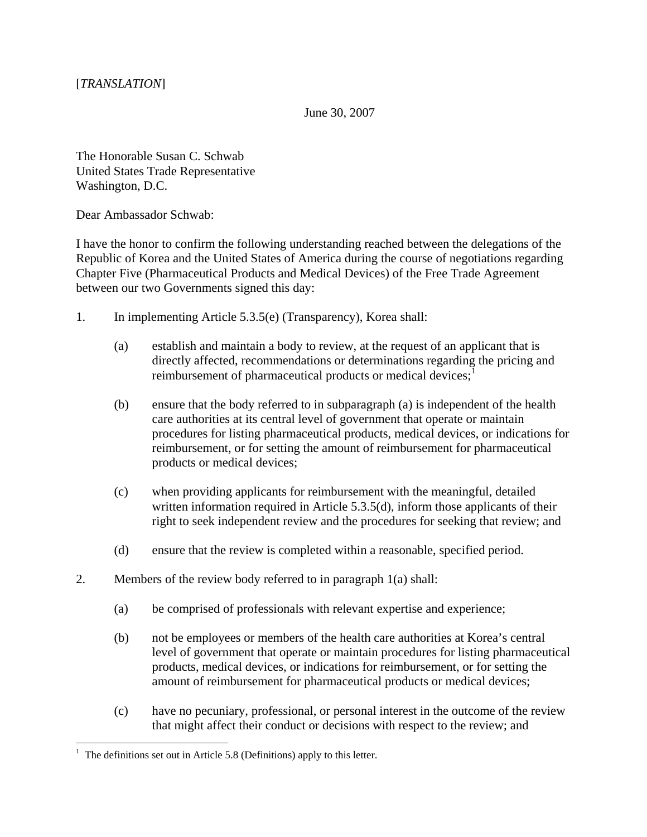June 30, 2007

The Honorable Susan C. Schwab United States Trade Representative Washington, D.C.

Dear Ambassador Schwab:

I have the honor to confirm the following understanding reached between the delegations of the Republic of Korea and the United States of America during the course of negotiations regarding Chapter Five (Pharmaceutical Products and Medical Devices) of the Free Trade Agreement between our two Governments signed this day:

- 1. In implementing Article 5.3.5(e) (Transparency), Korea shall:
	- (a) establish and maintain a body to review, at the request of an applicant that is directly affected, recommendations or determinations regarding the pricing and reimbursement of pharmaceutical products or medical devices;<sup>[1](#page-0-0)</sup>
	- (b) ensure that the body referred to in subparagraph (a) is independent of the health care authorities at its central level of government that operate or maintain procedures for listing pharmaceutical products, medical devices, or indications for reimbursement, or for setting the amount of reimbursement for pharmaceutical products or medical devices;
	- (c) when providing applicants for reimbursement with the meaningful, detailed written information required in Article 5.3.5(d), inform those applicants of their right to seek independent review and the procedures for seeking that review; and
	- (d) ensure that the review is completed within a reasonable, specified period.
- 2. Members of the review body referred to in paragraph 1(a) shall:
	- (a) be comprised of professionals with relevant expertise and experience;
	- (b) not be employees or members of the health care authorities at Korea's central level of government that operate or maintain procedures for listing pharmaceutical products, medical devices, or indications for reimbursement, or for setting the amount of reimbursement for pharmaceutical products or medical devices;
	- (c) have no pecuniary, professional, or personal interest in the outcome of the review that might affect their conduct or decisions with respect to the review; and

 $\overline{a}$ 

<span id="page-0-0"></span><sup>&</sup>lt;sup>1</sup> The definitions set out in Article 5.8 (Definitions) apply to this letter.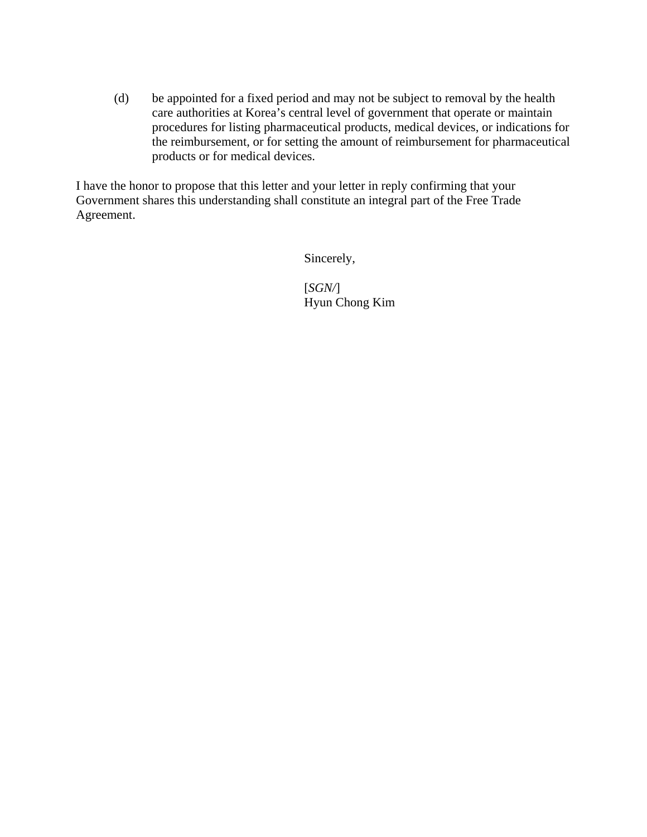(d) be appointed for a fixed period and may not be subject to removal by the health care authorities at Korea's central level of government that operate or maintain procedures for listing pharmaceutical products, medical devices, or indications for the reimbursement, or for setting the amount of reimbursement for pharmaceutical products or for medical devices.

I have the honor to propose that this letter and your letter in reply confirming that your Government shares this understanding shall constitute an integral part of the Free Trade Agreement.

Sincerely,

[*SGN/*] Hyun Chong Kim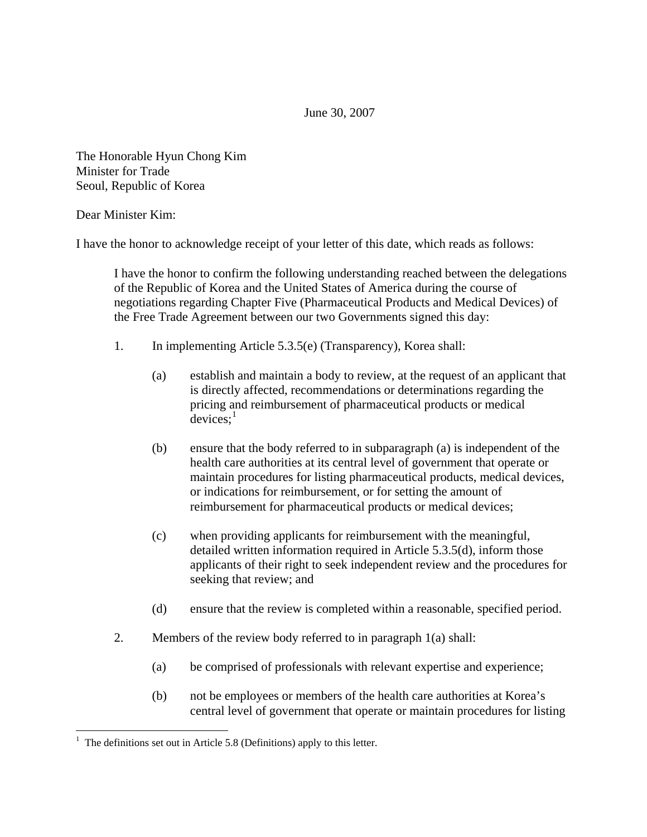June 30, 2007

The Honorable Hyun Chong Kim Minister for Trade Seoul, Republic of Korea

## Dear Minister Kim:

 $\overline{a}$ 

I have the honor to acknowledge receipt of your letter of this date, which reads as follows:

I have the honor to confirm the following understanding reached between the delegations of the Republic of Korea and the United States of America during the course of negotiations regarding Chapter Five (Pharmaceutical Products and Medical Devices) of the Free Trade Agreement between our two Governments signed this day:

- 1. In implementing Article 5.3.5(e) (Transparency), Korea shall:
	- (a) establish and maintain a body to review, at the request of an applicant that is directly affected, recommendations or determinations regarding the pricing and reimbursement of pharmaceutical products or medical  $devices:$ <sup>[1](#page-2-0)</sup>
	- (b) ensure that the body referred to in subparagraph (a) is independent of the health care authorities at its central level of government that operate or maintain procedures for listing pharmaceutical products, medical devices, or indications for reimbursement, or for setting the amount of reimbursement for pharmaceutical products or medical devices;
	- (c) when providing applicants for reimbursement with the meaningful, detailed written information required in Article 5.3.5(d), inform those applicants of their right to seek independent review and the procedures for seeking that review; and
	- (d) ensure that the review is completed within a reasonable, specified period.
- 2. Members of the review body referred to in paragraph 1(a) shall:
	- (a) be comprised of professionals with relevant expertise and experience;
	- (b) not be employees or members of the health care authorities at Korea's central level of government that operate or maintain procedures for listing

<span id="page-2-0"></span><sup>&</sup>lt;sup>1</sup> The definitions set out in Article 5.8 (Definitions) apply to this letter.